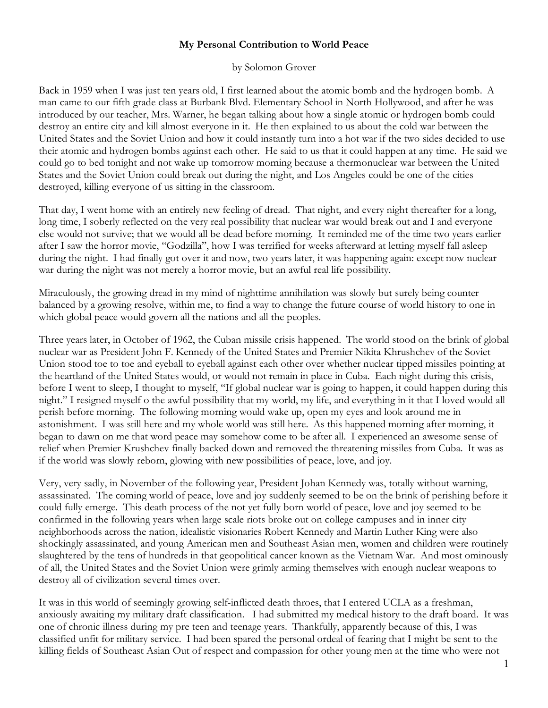## **My Personal Contribution to World Peace**

## by Solomon Grover

Back in 1959 when I was just ten years old, I first learned about the atomic bomb and the hydrogen bomb. A man came to our fifth grade class at Burbank Blvd. Elementary School in North Hollywood, and after he was introduced by our teacher, Mrs. Warner, he began talking about how a single atomic or hydrogen bomb could destroy an entire city and kill almost everyone in it. He then explained to us about the cold war between the United States and the Soviet Union and how it could instantly turn into a hot war if the two sides decided to use their atomic and hydrogen bombs against each other. He said to us that it could happen at any time. He said we could go to bed tonight and not wake up tomorrow morning because a thermonuclear war between the United States and the Soviet Union could break out during the night, and Los Angeles could be one of the cities destroyed, killing everyone of us sitting in the classroom.

That day, I went home with an entirely new feeling of dread. That night, and every night thereafter for a long, long time, I soberly reflected on the very real possibility that nuclear war would break out and I and everyone else would not survive; that we would all be dead before morning. It reminded me of the time two years earlier after I saw the horror movie, "Godzilla", how I was terrified for weeks afterward at letting myself fall asleep during the night. I had finally got over it and now, two years later, it was happening again: except now nuclear war during the night was not merely a horror movie, but an awful real life possibility.

Miraculously, the growing dread in my mind of nighttime annihilation was slowly but surely being counter balanced by a growing resolve, within me, to find a way to change the future course of world history to one in which global peace would govern all the nations and all the peoples.

Three years later, in October of 1962, the Cuban missile crisis happened. The world stood on the brink of global nuclear war as President John F. Kennedy of the United States and Premier Nikita Khrushchev of the Soviet Union stood toe to toe and eyeball to eyeball against each other over whether nuclear tipped missiles pointing at the heartland of the United States would, or would not remain in place in Cuba. Each night during this crisis, before I went to sleep, I thought to myself, "If global nuclear war is going to happen, it could happen during this night." I resigned myself o the awful possibility that my world, my life, and everything in it that I loved would all perish before morning. The following morning would wake up, open my eyes and look around me in astonishment. I was still here and my whole world was still here. As this happened morning after morning, it began to dawn on me that word peace may somehow come to be after all. I experienced an awesome sense of relief when Premier Krushchev finally backed down and removed the threatening missiles from Cuba. It was as if the world was slowly reborn, glowing with new possibilities of peace, love, and joy.

Very, very sadly, in November of the following year, President Johan Kennedy was, totally without warning, assassinated. The coming world of peace, love and joy suddenly seemed to be on the brink of perishing before it could fully emerge. This death process of the not yet fully born world of peace, love and joy seemed to be confirmed in the following years when large scale riots broke out on college campuses and in inner city neighborhoods across the nation, idealistic visionaries Robert Kennedy and Martin Luther King were also shockingly assassinated, and young American men and Southeast Asian men, women and children were routinely slaughtered by the tens of hundreds in that geopolitical cancer known as the Vietnam War. And most ominously of all, the United States and the Soviet Union were grimly arming themselves with enough nuclear weapons to destroy all of civilization several times over.

It was in this world of seemingly growing self-inflicted death throes, that I entered UCLA as a freshman, anxiously awaiting my military draft classification. I had submitted my medical history to the draft board. It was one of chronic illness during my pre teen and teenage years. Thankfully, apparently because of this, I was classified unfit for military service. I had been spared the personal ordeal of fearing that I might be sent to the killing fields of Southeast Asian Out of respect and compassion for other young men at the time who were not